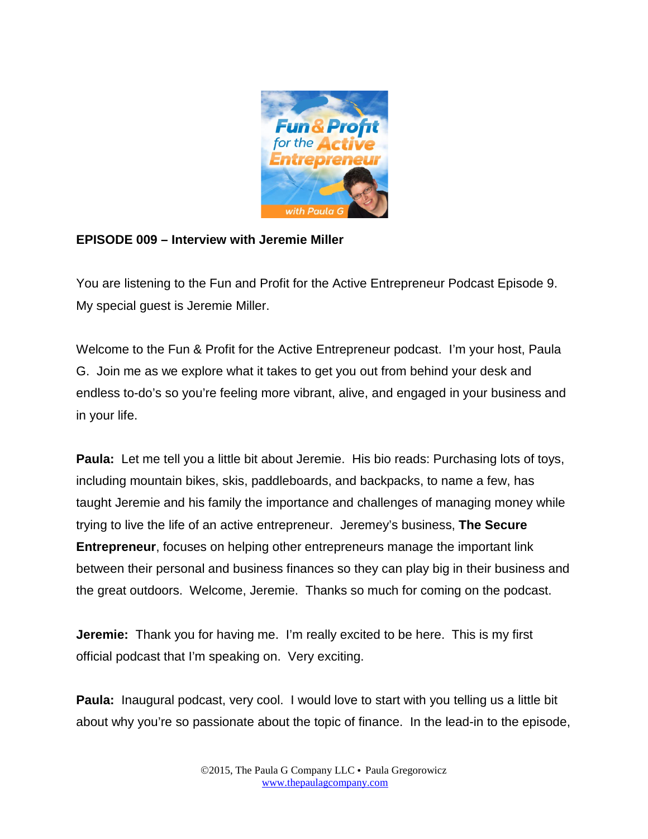

## **EPISODE 009 – Interview with Jeremie Miller**

You are listening to the Fun and Profit for the Active Entrepreneur Podcast Episode 9. My special guest is Jeremie Miller.

Welcome to the Fun & Profit for the Active Entrepreneur podcast. I'm your host, Paula G. Join me as we explore what it takes to get you out from behind your desk and endless to-do's so you're feeling more vibrant, alive, and engaged in your business and in your life.

**Paula:** Let me tell you a little bit about Jeremie. His bio reads: Purchasing lots of toys, including mountain bikes, skis, paddleboards, and backpacks, to name a few, has taught Jeremie and his family the importance and challenges of managing money while trying to live the life of an active entrepreneur. Jeremey's business, **The Secure Entrepreneur**, focuses on helping other entrepreneurs manage the important link between their personal and business finances so they can play big in their business and the great outdoors. Welcome, Jeremie. Thanks so much for coming on the podcast.

**Jeremie:** Thank you for having me. I'm really excited to be here. This is my first official podcast that I'm speaking on. Very exciting.

**Paula:** Inaugural podcast, very cool. I would love to start with you telling us a little bit about why you're so passionate about the topic of finance. In the lead-in to the episode,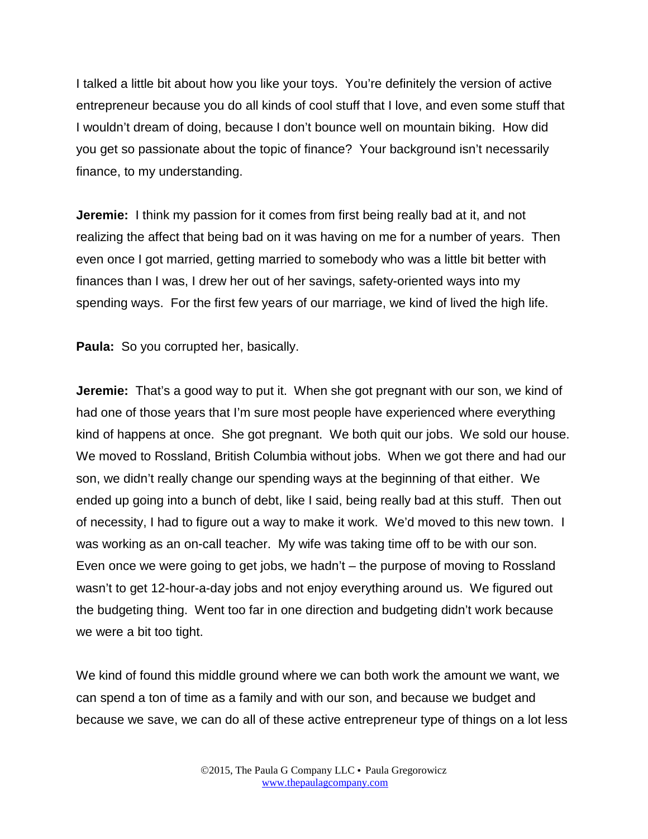I talked a little bit about how you like your toys. You're definitely the version of active entrepreneur because you do all kinds of cool stuff that I love, and even some stuff that I wouldn't dream of doing, because I don't bounce well on mountain biking. How did you get so passionate about the topic of finance? Your background isn't necessarily finance, to my understanding.

**Jeremie:** I think my passion for it comes from first being really bad at it, and not realizing the affect that being bad on it was having on me for a number of years. Then even once I got married, getting married to somebody who was a little bit better with finances than I was, I drew her out of her savings, safety-oriented ways into my spending ways. For the first few years of our marriage, we kind of lived the high life.

**Paula:** So you corrupted her, basically.

**Jeremie:** That's a good way to put it. When she got pregnant with our son, we kind of had one of those years that I'm sure most people have experienced where everything kind of happens at once. She got pregnant. We both quit our jobs. We sold our house. We moved to Rossland, British Columbia without jobs. When we got there and had our son, we didn't really change our spending ways at the beginning of that either. We ended up going into a bunch of debt, like I said, being really bad at this stuff. Then out of necessity, I had to figure out a way to make it work. We'd moved to this new town. I was working as an on-call teacher. My wife was taking time off to be with our son. Even once we were going to get jobs, we hadn't – the purpose of moving to Rossland wasn't to get 12-hour-a-day jobs and not enjoy everything around us. We figured out the budgeting thing. Went too far in one direction and budgeting didn't work because we were a bit too tight.

We kind of found this middle ground where we can both work the amount we want, we can spend a ton of time as a family and with our son, and because we budget and because we save, we can do all of these active entrepreneur type of things on a lot less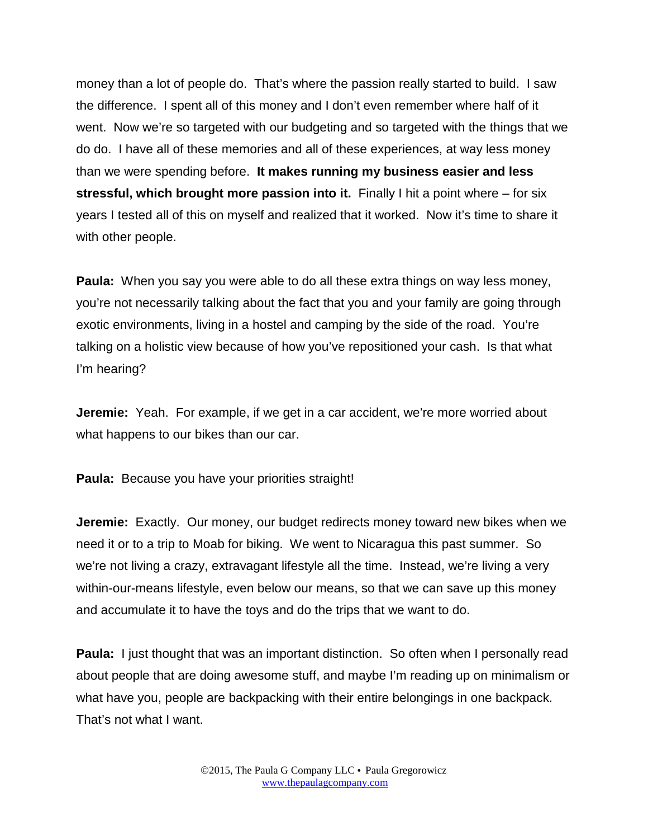money than a lot of people do. That's where the passion really started to build. I saw the difference. I spent all of this money and I don't even remember where half of it went. Now we're so targeted with our budgeting and so targeted with the things that we do do. I have all of these memories and all of these experiences, at way less money than we were spending before. **It makes running my business easier and less stressful, which brought more passion into it.** Finally I hit a point where – for six years I tested all of this on myself and realized that it worked. Now it's time to share it with other people.

**Paula:** When you say you were able to do all these extra things on way less money, you're not necessarily talking about the fact that you and your family are going through exotic environments, living in a hostel and camping by the side of the road. You're talking on a holistic view because of how you've repositioned your cash. Is that what I'm hearing?

**Jeremie:** Yeah. For example, if we get in a car accident, we're more worried about what happens to our bikes than our car.

**Paula:** Because you have your priorities straight!

**Jeremie:** Exactly. Our money, our budget redirects money toward new bikes when we need it or to a trip to Moab for biking. We went to Nicaragua this past summer. So we're not living a crazy, extravagant lifestyle all the time. Instead, we're living a very within-our-means lifestyle, even below our means, so that we can save up this money and accumulate it to have the toys and do the trips that we want to do.

**Paula:** I just thought that was an important distinction. So often when I personally read about people that are doing awesome stuff, and maybe I'm reading up on minimalism or what have you, people are backpacking with their entire belongings in one backpack. That's not what I want.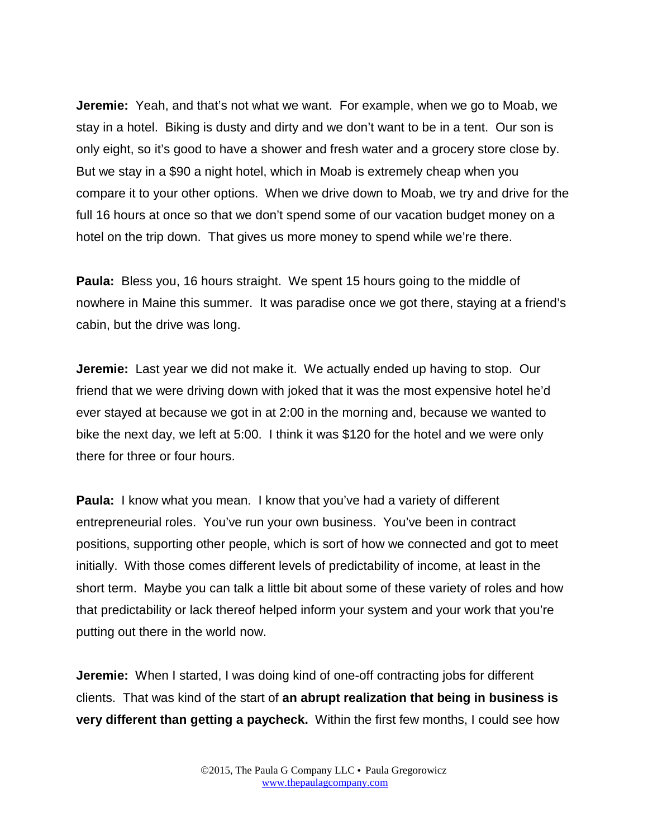**Jeremie:** Yeah, and that's not what we want. For example, when we go to Moab, we stay in a hotel. Biking is dusty and dirty and we don't want to be in a tent. Our son is only eight, so it's good to have a shower and fresh water and a grocery store close by. But we stay in a \$90 a night hotel, which in Moab is extremely cheap when you compare it to your other options. When we drive down to Moab, we try and drive for the full 16 hours at once so that we don't spend some of our vacation budget money on a hotel on the trip down. That gives us more money to spend while we're there.

**Paula:** Bless you, 16 hours straight. We spent 15 hours going to the middle of nowhere in Maine this summer. It was paradise once we got there, staying at a friend's cabin, but the drive was long.

**Jeremie:** Last year we did not make it. We actually ended up having to stop. Our friend that we were driving down with joked that it was the most expensive hotel he'd ever stayed at because we got in at 2:00 in the morning and, because we wanted to bike the next day, we left at 5:00. I think it was \$120 for the hotel and we were only there for three or four hours.

**Paula:** I know what you mean. I know that you've had a variety of different entrepreneurial roles. You've run your own business. You've been in contract positions, supporting other people, which is sort of how we connected and got to meet initially. With those comes different levels of predictability of income, at least in the short term. Maybe you can talk a little bit about some of these variety of roles and how that predictability or lack thereof helped inform your system and your work that you're putting out there in the world now.

**Jeremie:** When I started, I was doing kind of one-off contracting jobs for different clients. That was kind of the start of **an abrupt realization that being in business is very different than getting a paycheck.** Within the first few months, I could see how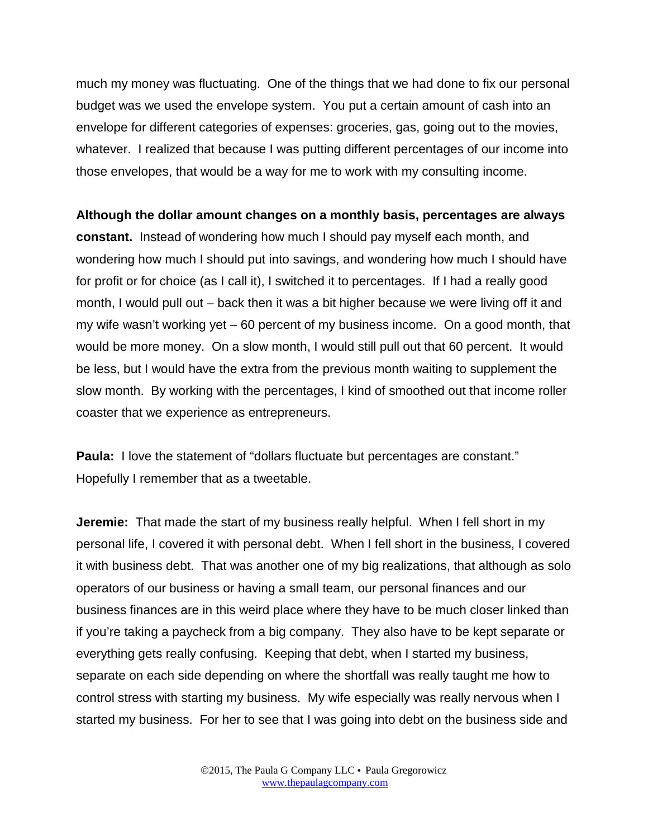much my money was fluctuating. One of the things that we had done to fix our personal budget was we used the envelope system. You put a certain amount of cash into an envelope for different categories of expenses: groceries, gas, going out to the movies, whatever. I realized that because I was putting different percentages of our income into those envelopes, that would be a way for me to work with my consulting income.

**Although the dollar amount changes on a monthly basis, percentages are always constant.** Instead of wondering how much I should pay myself each month, and wondering how much I should put into savings, and wondering how much I should have for profit or for choice (as I call it), I switched it to percentages. If I had a really good month, I would pull out – back then it was a bit higher because we were living off it and my wife wasn't working yet – 60 percent of my business income. On a good month, that would be more money. On a slow month, I would still pull out that 60 percent. It would be less, but I would have the extra from the previous month waiting to supplement the slow month. By working with the percentages, I kind of smoothed out that income roller coaster that we experience as entrepreneurs.

**Paula:** I love the statement of "dollars fluctuate but percentages are constant." Hopefully I remember that as a tweetable.

**Jeremie:** That made the start of my business really helpful. When I fell short in my personal life, I covered it with personal debt. When I fell short in the business, I covered it with business debt. That was another one of my big realizations, that although as solo operators of our business or having a small team, our personal finances and our business finances are in this weird place where they have to be much closer linked than if you're taking a paycheck from a big company. They also have to be kept separate or everything gets really confusing. Keeping that debt, when I started my business, separate on each side depending on where the shortfall was really taught me how to control stress with starting my business. My wife especially was really nervous when I started my business. For her to see that I was going into debt on the business side and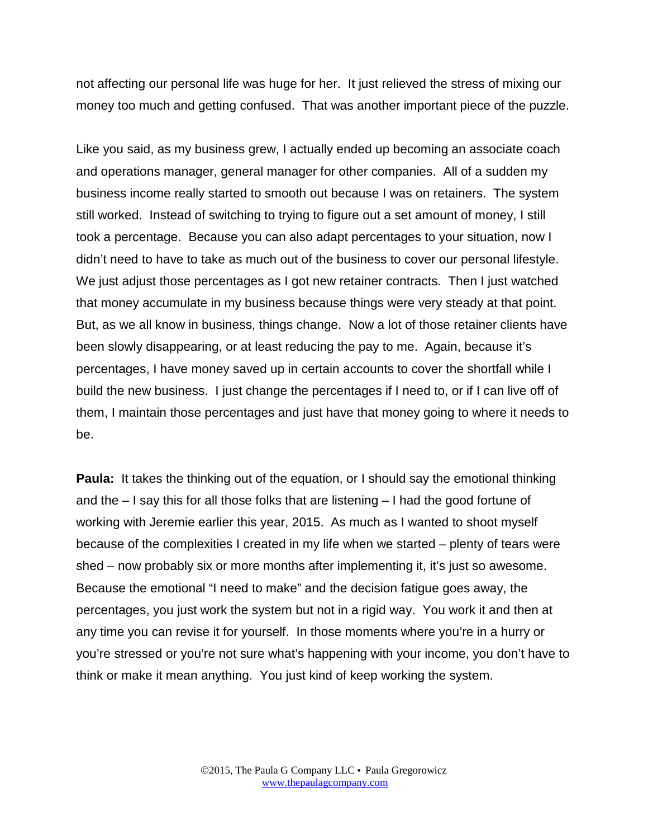not affecting our personal life was huge for her. It just relieved the stress of mixing our money too much and getting confused. That was another important piece of the puzzle.

Like you said, as my business grew, I actually ended up becoming an associate coach and operations manager, general manager for other companies. All of a sudden my business income really started to smooth out because I was on retainers. The system still worked. Instead of switching to trying to figure out a set amount of money, I still took a percentage. Because you can also adapt percentages to your situation, now I didn't need to have to take as much out of the business to cover our personal lifestyle. We just adjust those percentages as I got new retainer contracts. Then I just watched that money accumulate in my business because things were very steady at that point. But, as we all know in business, things change. Now a lot of those retainer clients have been slowly disappearing, or at least reducing the pay to me. Again, because it's percentages, I have money saved up in certain accounts to cover the shortfall while I build the new business. I just change the percentages if I need to, or if I can live off of them, I maintain those percentages and just have that money going to where it needs to be.

**Paula:** It takes the thinking out of the equation, or I should say the emotional thinking and the – I say this for all those folks that are listening – I had the good fortune of working with Jeremie earlier this year, 2015. As much as I wanted to shoot myself because of the complexities I created in my life when we started – plenty of tears were shed – now probably six or more months after implementing it, it's just so awesome. Because the emotional "I need to make" and the decision fatigue goes away, the percentages, you just work the system but not in a rigid way. You work it and then at any time you can revise it for yourself. In those moments where you're in a hurry or you're stressed or you're not sure what's happening with your income, you don't have to think or make it mean anything. You just kind of keep working the system.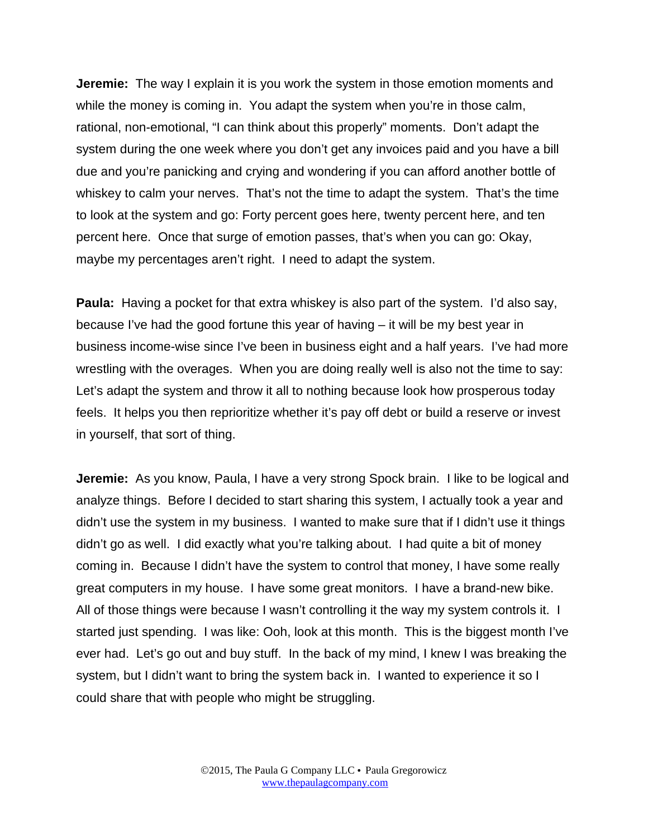**Jeremie:** The way I explain it is you work the system in those emotion moments and while the money is coming in. You adapt the system when you're in those calm, rational, non-emotional, "I can think about this properly" moments. Don't adapt the system during the one week where you don't get any invoices paid and you have a bill due and you're panicking and crying and wondering if you can afford another bottle of whiskey to calm your nerves. That's not the time to adapt the system. That's the time to look at the system and go: Forty percent goes here, twenty percent here, and ten percent here. Once that surge of emotion passes, that's when you can go: Okay, maybe my percentages aren't right. I need to adapt the system.

**Paula:** Having a pocket for that extra whiskey is also part of the system. I'd also say, because I've had the good fortune this year of having – it will be my best year in business income-wise since I've been in business eight and a half years. I've had more wrestling with the overages. When you are doing really well is also not the time to say: Let's adapt the system and throw it all to nothing because look how prosperous today feels. It helps you then reprioritize whether it's pay off debt or build a reserve or invest in yourself, that sort of thing.

**Jeremie:** As you know, Paula, I have a very strong Spock brain. I like to be logical and analyze things. Before I decided to start sharing this system, I actually took a year and didn't use the system in my business. I wanted to make sure that if I didn't use it things didn't go as well. I did exactly what you're talking about. I had quite a bit of money coming in. Because I didn't have the system to control that money, I have some really great computers in my house. I have some great monitors. I have a brand-new bike. All of those things were because I wasn't controlling it the way my system controls it. I started just spending. I was like: Ooh, look at this month. This is the biggest month I've ever had. Let's go out and buy stuff. In the back of my mind, I knew I was breaking the system, but I didn't want to bring the system back in. I wanted to experience it so I could share that with people who might be struggling.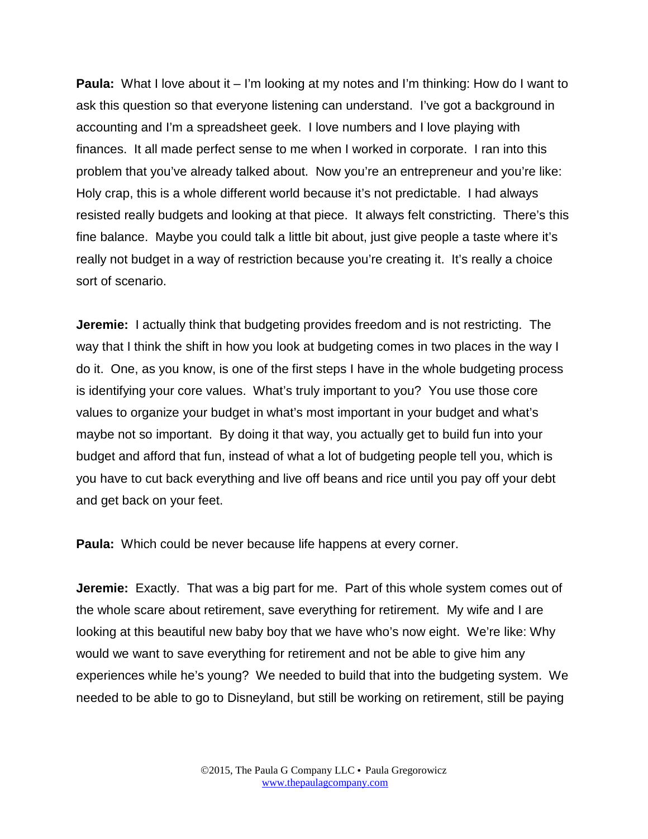**Paula:** What I love about it – I'm looking at my notes and I'm thinking: How do I want to ask this question so that everyone listening can understand. I've got a background in accounting and I'm a spreadsheet geek. I love numbers and I love playing with finances. It all made perfect sense to me when I worked in corporate. I ran into this problem that you've already talked about. Now you're an entrepreneur and you're like: Holy crap, this is a whole different world because it's not predictable. I had always resisted really budgets and looking at that piece. It always felt constricting. There's this fine balance. Maybe you could talk a little bit about, just give people a taste where it's really not budget in a way of restriction because you're creating it. It's really a choice sort of scenario.

**Jeremie:** I actually think that budgeting provides freedom and is not restricting. The way that I think the shift in how you look at budgeting comes in two places in the way I do it. One, as you know, is one of the first steps I have in the whole budgeting process is identifying your core values. What's truly important to you? You use those core values to organize your budget in what's most important in your budget and what's maybe not so important. By doing it that way, you actually get to build fun into your budget and afford that fun, instead of what a lot of budgeting people tell you, which is you have to cut back everything and live off beans and rice until you pay off your debt and get back on your feet.

**Paula:** Which could be never because life happens at every corner.

**Jeremie:** Exactly. That was a big part for me. Part of this whole system comes out of the whole scare about retirement, save everything for retirement. My wife and I are looking at this beautiful new baby boy that we have who's now eight. We're like: Why would we want to save everything for retirement and not be able to give him any experiences while he's young? We needed to build that into the budgeting system. We needed to be able to go to Disneyland, but still be working on retirement, still be paying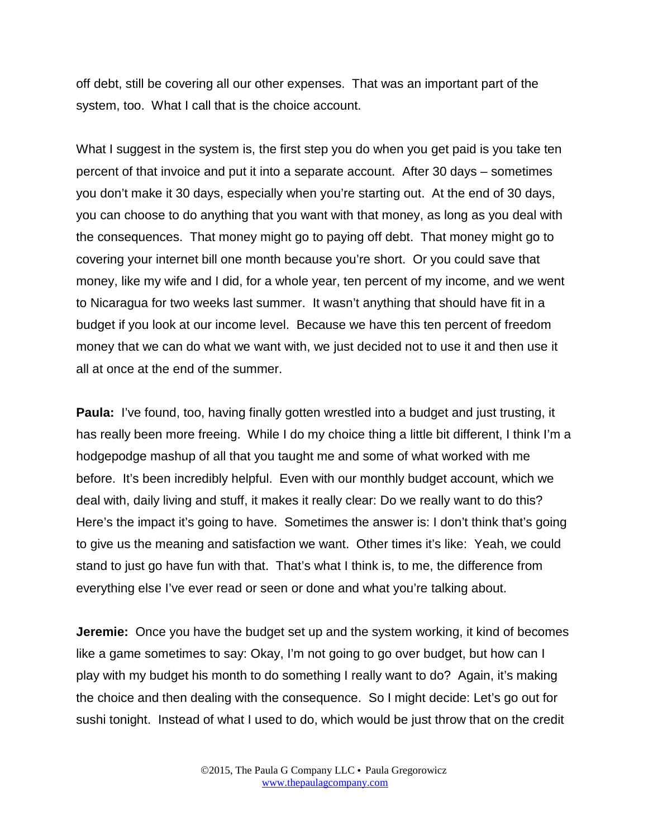off debt, still be covering all our other expenses. That was an important part of the system, too. What I call that is the choice account.

What I suggest in the system is, the first step you do when you get paid is you take ten percent of that invoice and put it into a separate account. After 30 days – sometimes you don't make it 30 days, especially when you're starting out. At the end of 30 days, you can choose to do anything that you want with that money, as long as you deal with the consequences. That money might go to paying off debt. That money might go to covering your internet bill one month because you're short. Or you could save that money, like my wife and I did, for a whole year, ten percent of my income, and we went to Nicaragua for two weeks last summer. It wasn't anything that should have fit in a budget if you look at our income level. Because we have this ten percent of freedom money that we can do what we want with, we just decided not to use it and then use it all at once at the end of the summer.

**Paula:** I've found, too, having finally gotten wrestled into a budget and just trusting, it has really been more freeing. While I do my choice thing a little bit different, I think I'm a hodgepodge mashup of all that you taught me and some of what worked with me before. It's been incredibly helpful. Even with our monthly budget account, which we deal with, daily living and stuff, it makes it really clear: Do we really want to do this? Here's the impact it's going to have. Sometimes the answer is: I don't think that's going to give us the meaning and satisfaction we want. Other times it's like: Yeah, we could stand to just go have fun with that. That's what I think is, to me, the difference from everything else I've ever read or seen or done and what you're talking about.

**Jeremie:** Once you have the budget set up and the system working, it kind of becomes like a game sometimes to say: Okay, I'm not going to go over budget, but how can I play with my budget his month to do something I really want to do? Again, it's making the choice and then dealing with the consequence. So I might decide: Let's go out for sushi tonight. Instead of what I used to do, which would be just throw that on the credit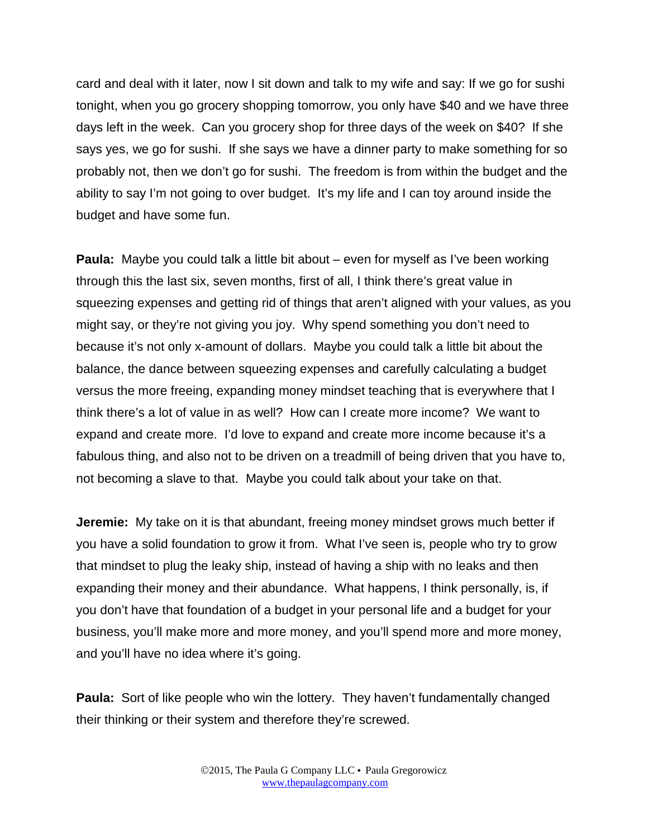card and deal with it later, now I sit down and talk to my wife and say: If we go for sushi tonight, when you go grocery shopping tomorrow, you only have \$40 and we have three days left in the week. Can you grocery shop for three days of the week on \$40? If she says yes, we go for sushi. If she says we have a dinner party to make something for so probably not, then we don't go for sushi. The freedom is from within the budget and the ability to say I'm not going to over budget. It's my life and I can toy around inside the budget and have some fun.

**Paula:** Maybe you could talk a little bit about – even for myself as I've been working through this the last six, seven months, first of all, I think there's great value in squeezing expenses and getting rid of things that aren't aligned with your values, as you might say, or they're not giving you joy. Why spend something you don't need to because it's not only x-amount of dollars. Maybe you could talk a little bit about the balance, the dance between squeezing expenses and carefully calculating a budget versus the more freeing, expanding money mindset teaching that is everywhere that I think there's a lot of value in as well? How can I create more income? We want to expand and create more. I'd love to expand and create more income because it's a fabulous thing, and also not to be driven on a treadmill of being driven that you have to, not becoming a slave to that. Maybe you could talk about your take on that.

**Jeremie:** My take on it is that abundant, freeing money mindset grows much better if you have a solid foundation to grow it from. What I've seen is, people who try to grow that mindset to plug the leaky ship, instead of having a ship with no leaks and then expanding their money and their abundance. What happens, I think personally, is, if you don't have that foundation of a budget in your personal life and a budget for your business, you'll make more and more money, and you'll spend more and more money, and you'll have no idea where it's going.

**Paula:** Sort of like people who win the lottery. They haven't fundamentally changed their thinking or their system and therefore they're screwed.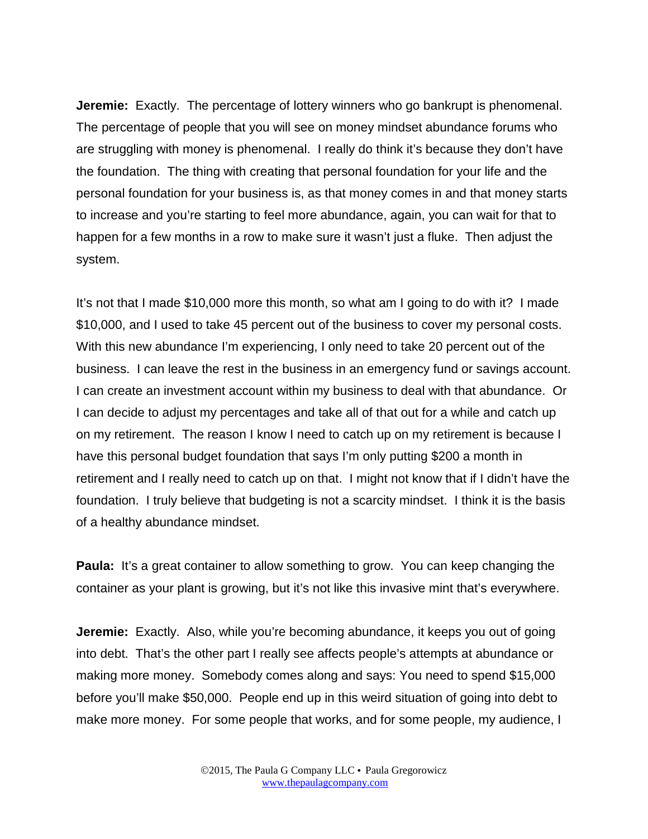**Jeremie:** Exactly. The percentage of lottery winners who go bankrupt is phenomenal. The percentage of people that you will see on money mindset abundance forums who are struggling with money is phenomenal. I really do think it's because they don't have the foundation. The thing with creating that personal foundation for your life and the personal foundation for your business is, as that money comes in and that money starts to increase and you're starting to feel more abundance, again, you can wait for that to happen for a few months in a row to make sure it wasn't just a fluke. Then adjust the system.

It's not that I made \$10,000 more this month, so what am I going to do with it? I made \$10,000, and I used to take 45 percent out of the business to cover my personal costs. With this new abundance I'm experiencing, I only need to take 20 percent out of the business. I can leave the rest in the business in an emergency fund or savings account. I can create an investment account within my business to deal with that abundance. Or I can decide to adjust my percentages and take all of that out for a while and catch up on my retirement. The reason I know I need to catch up on my retirement is because I have this personal budget foundation that says I'm only putting \$200 a month in retirement and I really need to catch up on that. I might not know that if I didn't have the foundation. I truly believe that budgeting is not a scarcity mindset. I think it is the basis of a healthy abundance mindset.

**Paula:** It's a great container to allow something to grow. You can keep changing the container as your plant is growing, but it's not like this invasive mint that's everywhere.

**Jeremie:** Exactly. Also, while you're becoming abundance, it keeps you out of going into debt. That's the other part I really see affects people's attempts at abundance or making more money. Somebody comes along and says: You need to spend \$15,000 before you'll make \$50,000. People end up in this weird situation of going into debt to make more money. For some people that works, and for some people, my audience, I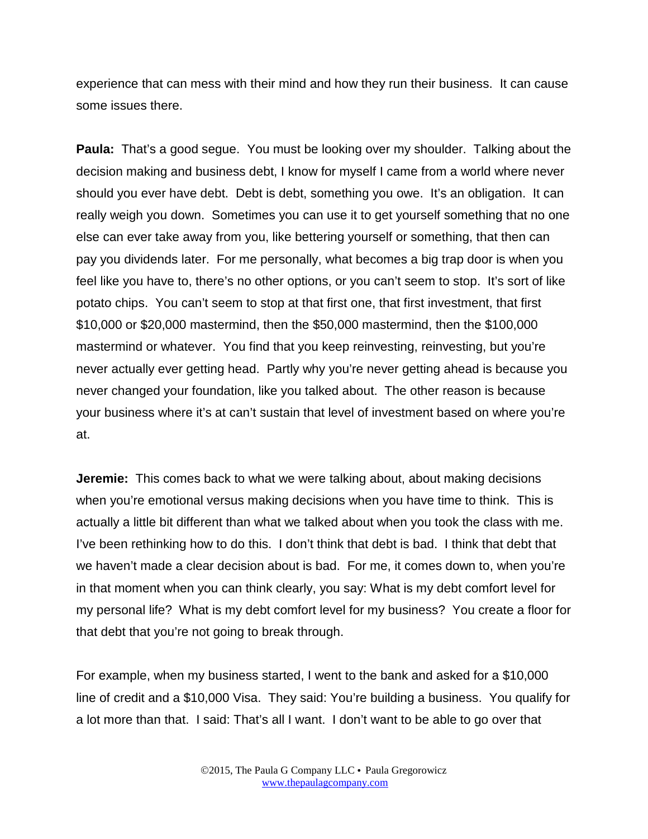experience that can mess with their mind and how they run their business. It can cause some issues there.

**Paula:** That's a good segue. You must be looking over my shoulder. Talking about the decision making and business debt, I know for myself I came from a world where never should you ever have debt. Debt is debt, something you owe. It's an obligation. It can really weigh you down. Sometimes you can use it to get yourself something that no one else can ever take away from you, like bettering yourself or something, that then can pay you dividends later. For me personally, what becomes a big trap door is when you feel like you have to, there's no other options, or you can't seem to stop. It's sort of like potato chips. You can't seem to stop at that first one, that first investment, that first \$10,000 or \$20,000 mastermind, then the \$50,000 mastermind, then the \$100,000 mastermind or whatever. You find that you keep reinvesting, reinvesting, but you're never actually ever getting head. Partly why you're never getting ahead is because you never changed your foundation, like you talked about. The other reason is because your business where it's at can't sustain that level of investment based on where you're at.

**Jeremie:** This comes back to what we were talking about, about making decisions when you're emotional versus making decisions when you have time to think. This is actually a little bit different than what we talked about when you took the class with me. I've been rethinking how to do this. I don't think that debt is bad. I think that debt that we haven't made a clear decision about is bad. For me, it comes down to, when you're in that moment when you can think clearly, you say: What is my debt comfort level for my personal life? What is my debt comfort level for my business? You create a floor for that debt that you're not going to break through.

For example, when my business started, I went to the bank and asked for a \$10,000 line of credit and a \$10,000 Visa. They said: You're building a business. You qualify for a lot more than that. I said: That's all I want. I don't want to be able to go over that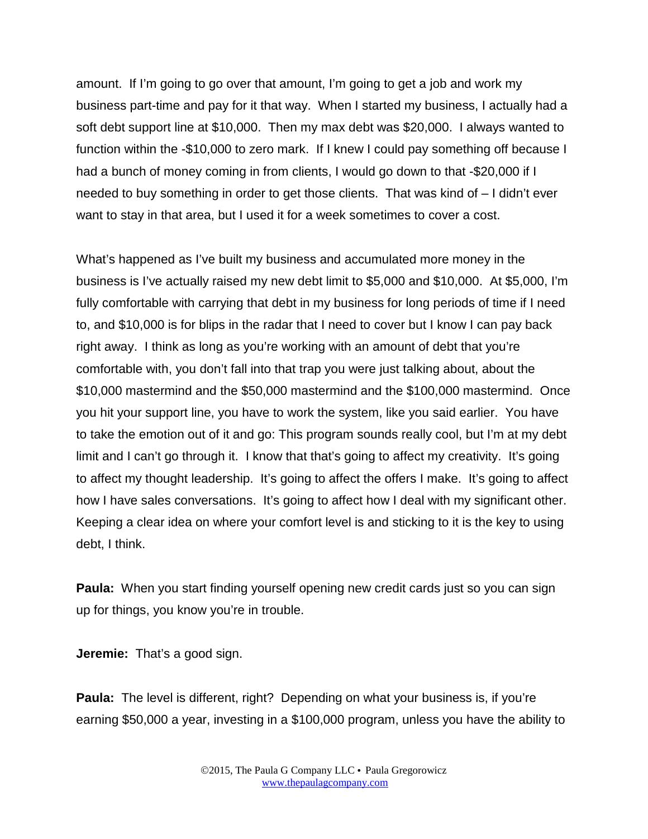amount. If I'm going to go over that amount, I'm going to get a job and work my business part-time and pay for it that way. When I started my business, I actually had a soft debt support line at \$10,000. Then my max debt was \$20,000. I always wanted to function within the -\$10,000 to zero mark. If I knew I could pay something off because I had a bunch of money coming in from clients, I would go down to that -\$20,000 if I needed to buy something in order to get those clients. That was kind of – I didn't ever want to stay in that area, but I used it for a week sometimes to cover a cost.

What's happened as I've built my business and accumulated more money in the business is I've actually raised my new debt limit to \$5,000 and \$10,000. At \$5,000, I'm fully comfortable with carrying that debt in my business for long periods of time if I need to, and \$10,000 is for blips in the radar that I need to cover but I know I can pay back right away. I think as long as you're working with an amount of debt that you're comfortable with, you don't fall into that trap you were just talking about, about the \$10,000 mastermind and the \$50,000 mastermind and the \$100,000 mastermind. Once you hit your support line, you have to work the system, like you said earlier. You have to take the emotion out of it and go: This program sounds really cool, but I'm at my debt limit and I can't go through it. I know that that's going to affect my creativity. It's going to affect my thought leadership. It's going to affect the offers I make. It's going to affect how I have sales conversations. It's going to affect how I deal with my significant other. Keeping a clear idea on where your comfort level is and sticking to it is the key to using debt, I think.

**Paula:** When you start finding yourself opening new credit cards just so you can sign up for things, you know you're in trouble.

**Jeremie:** That's a good sign.

**Paula:** The level is different, right? Depending on what your business is, if you're earning \$50,000 a year, investing in a \$100,000 program, unless you have the ability to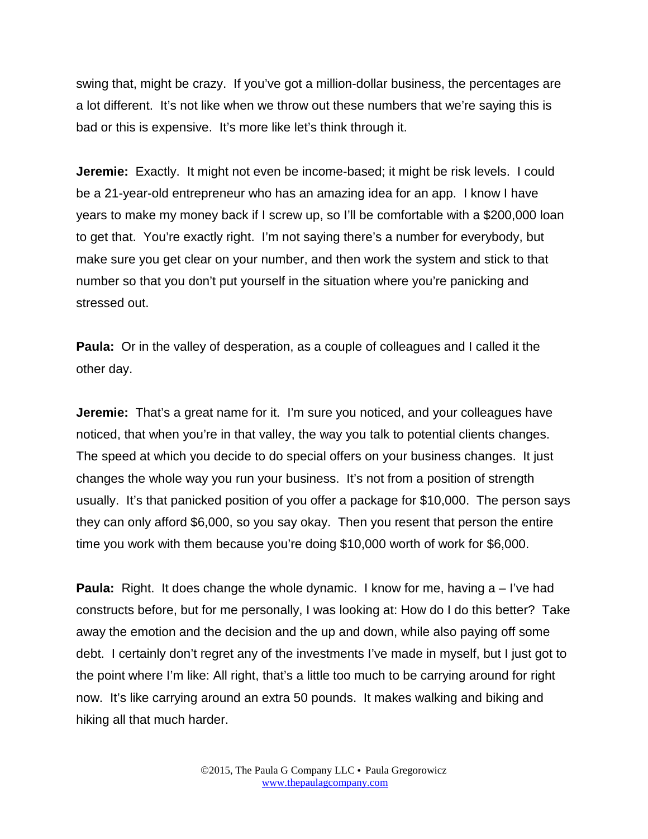swing that, might be crazy. If you've got a million-dollar business, the percentages are a lot different. It's not like when we throw out these numbers that we're saying this is bad or this is expensive. It's more like let's think through it.

**Jeremie:** Exactly. It might not even be income-based; it might be risk levels. I could be a 21-year-old entrepreneur who has an amazing idea for an app. I know I have years to make my money back if I screw up, so I'll be comfortable with a \$200,000 loan to get that. You're exactly right. I'm not saying there's a number for everybody, but make sure you get clear on your number, and then work the system and stick to that number so that you don't put yourself in the situation where you're panicking and stressed out.

**Paula:** Or in the valley of desperation, as a couple of colleagues and I called it the other day.

**Jeremie:** That's a great name for it. I'm sure you noticed, and your colleagues have noticed, that when you're in that valley, the way you talk to potential clients changes. The speed at which you decide to do special offers on your business changes. It just changes the whole way you run your business. It's not from a position of strength usually. It's that panicked position of you offer a package for \$10,000. The person says they can only afford \$6,000, so you say okay. Then you resent that person the entire time you work with them because you're doing \$10,000 worth of work for \$6,000.

**Paula:** Right. It does change the whole dynamic. I know for me, having a – I've had constructs before, but for me personally, I was looking at: How do I do this better? Take away the emotion and the decision and the up and down, while also paying off some debt. I certainly don't regret any of the investments I've made in myself, but I just got to the point where I'm like: All right, that's a little too much to be carrying around for right now. It's like carrying around an extra 50 pounds. It makes walking and biking and hiking all that much harder.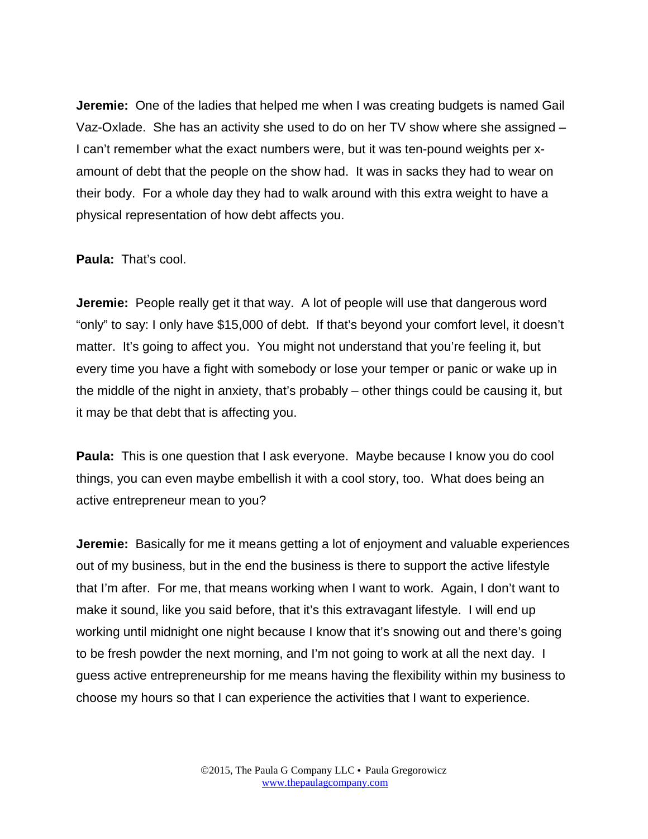**Jeremie:** One of the ladies that helped me when I was creating budgets is named Gail Vaz-Oxlade. She has an activity she used to do on her TV show where she assigned – I can't remember what the exact numbers were, but it was ten-pound weights per xamount of debt that the people on the show had. It was in sacks they had to wear on their body. For a whole day they had to walk around with this extra weight to have a physical representation of how debt affects you.

## **Paula:** That's cool.

**Jeremie:** People really get it that way. A lot of people will use that dangerous word "only" to say: I only have \$15,000 of debt. If that's beyond your comfort level, it doesn't matter. It's going to affect you. You might not understand that you're feeling it, but every time you have a fight with somebody or lose your temper or panic or wake up in the middle of the night in anxiety, that's probably – other things could be causing it, but it may be that debt that is affecting you.

**Paula:** This is one question that I ask everyone. Maybe because I know you do cool things, you can even maybe embellish it with a cool story, too. What does being an active entrepreneur mean to you?

**Jeremie:** Basically for me it means getting a lot of enjoyment and valuable experiences out of my business, but in the end the business is there to support the active lifestyle that I'm after. For me, that means working when I want to work. Again, I don't want to make it sound, like you said before, that it's this extravagant lifestyle. I will end up working until midnight one night because I know that it's snowing out and there's going to be fresh powder the next morning, and I'm not going to work at all the next day. I guess active entrepreneurship for me means having the flexibility within my business to choose my hours so that I can experience the activities that I want to experience.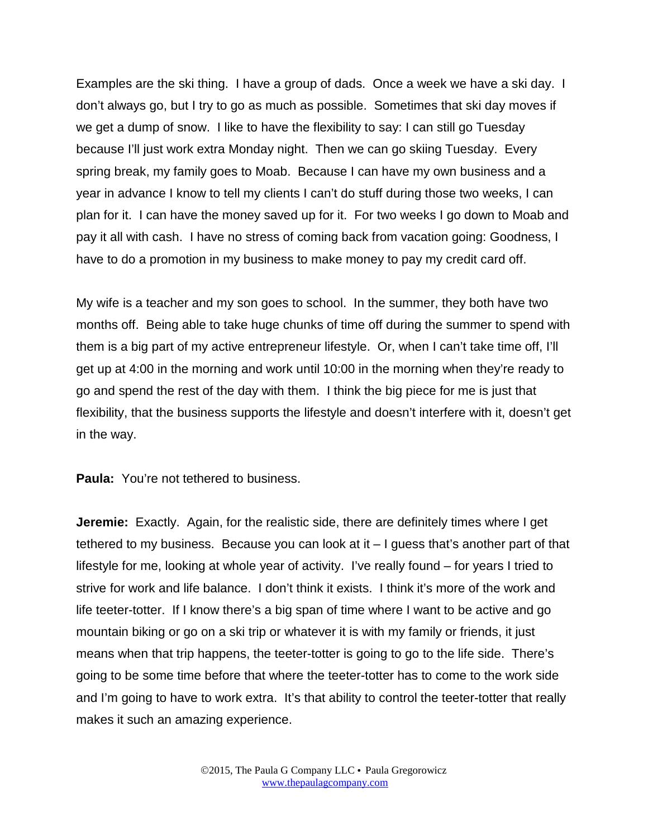Examples are the ski thing. I have a group of dads. Once a week we have a ski day. I don't always go, but I try to go as much as possible. Sometimes that ski day moves if we get a dump of snow. I like to have the flexibility to say: I can still go Tuesday because I'll just work extra Monday night. Then we can go skiing Tuesday. Every spring break, my family goes to Moab. Because I can have my own business and a year in advance I know to tell my clients I can't do stuff during those two weeks, I can plan for it. I can have the money saved up for it. For two weeks I go down to Moab and pay it all with cash. I have no stress of coming back from vacation going: Goodness, I have to do a promotion in my business to make money to pay my credit card off.

My wife is a teacher and my son goes to school. In the summer, they both have two months off. Being able to take huge chunks of time off during the summer to spend with them is a big part of my active entrepreneur lifestyle. Or, when I can't take time off, I'll get up at 4:00 in the morning and work until 10:00 in the morning when they're ready to go and spend the rest of the day with them. I think the big piece for me is just that flexibility, that the business supports the lifestyle and doesn't interfere with it, doesn't get in the way.

**Paula:** You're not tethered to business.

**Jeremie:** Exactly. Again, for the realistic side, there are definitely times where I get tethered to my business. Because you can look at it – I guess that's another part of that lifestyle for me, looking at whole year of activity. I've really found – for years I tried to strive for work and life balance. I don't think it exists. I think it's more of the work and life teeter-totter. If I know there's a big span of time where I want to be active and go mountain biking or go on a ski trip or whatever it is with my family or friends, it just means when that trip happens, the teeter-totter is going to go to the life side. There's going to be some time before that where the teeter-totter has to come to the work side and I'm going to have to work extra. It's that ability to control the teeter-totter that really makes it such an amazing experience.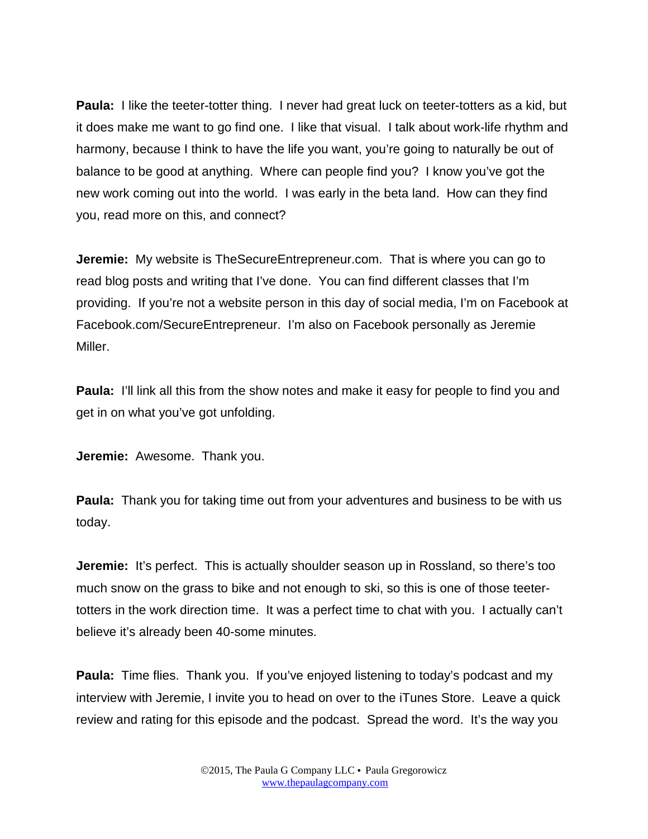**Paula:** I like the teeter-totter thing. I never had great luck on teeter-totters as a kid, but it does make me want to go find one. I like that visual. I talk about work-life rhythm and harmony, because I think to have the life you want, you're going to naturally be out of balance to be good at anything. Where can people find you? I know you've got the new work coming out into the world. I was early in the beta land. How can they find you, read more on this, and connect?

**Jeremie:** My website is TheSecureEntrepreneur.com. That is where you can go to read blog posts and writing that I've done. You can find different classes that I'm providing. If you're not a website person in this day of social media, I'm on Facebook at Facebook.com/SecureEntrepreneur. I'm also on Facebook personally as Jeremie Miller.

**Paula:** I'll link all this from the show notes and make it easy for people to find you and get in on what you've got unfolding.

**Jeremie:** Awesome. Thank you.

**Paula:** Thank you for taking time out from your adventures and business to be with us today.

**Jeremie:** It's perfect. This is actually shoulder season up in Rossland, so there's too much snow on the grass to bike and not enough to ski, so this is one of those teetertotters in the work direction time. It was a perfect time to chat with you. I actually can't believe it's already been 40-some minutes.

**Paula:** Time flies. Thank you. If you've enjoyed listening to today's podcast and my interview with Jeremie, I invite you to head on over to the iTunes Store. Leave a quick review and rating for this episode and the podcast. Spread the word. It's the way you